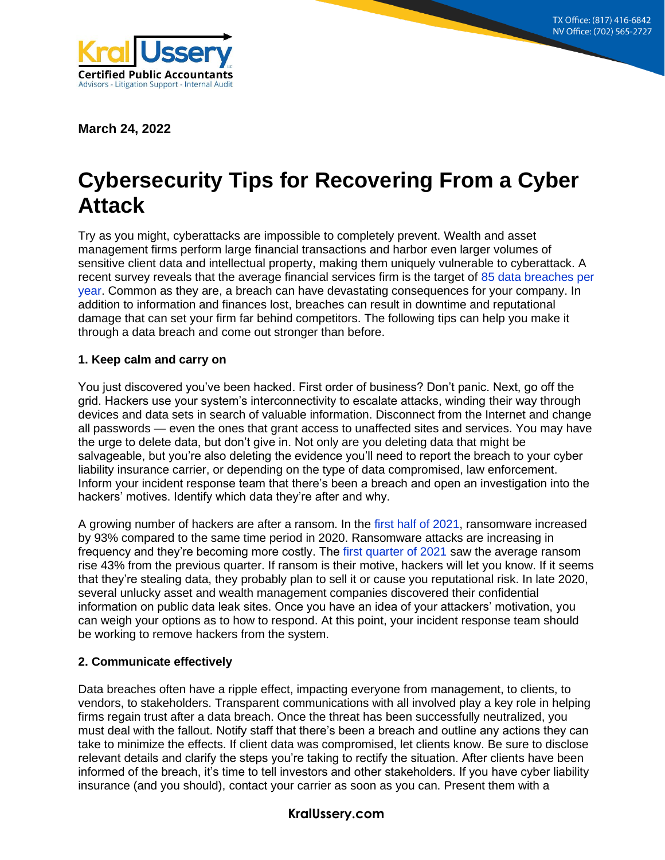**8215 S. Eastern Ave, Suite 235 Las Vegas, NV 89123 (702) 565-2727**



**March 24, 2022**

# **Cybersecurity Tips for Recovering From a Cyber Attack**

Try as you might, cyberattacks are impossible to completely prevent. Wealth and asset management firms perform large financial transactions and harbor even larger volumes of sensitive client data and intellectual property, making them uniquely vulnerable to cyberattack. A recent survey reveals that the average financial services firm is the target of [85 data breaches per](https://www.accenture.com/_acnmedia/pdf-49/accenture-insideops-cybersecurity-asset-management.pdf)  [year.](https://www.accenture.com/_acnmedia/pdf-49/accenture-insideops-cybersecurity-asset-management.pdf) Common as they are, a breach can have devastating consequences for your company. In addition to information and finances lost, breaches can result in downtime and reputational damage that can set your firm far behind competitors. The following tips can help you make it through a data breach and come out stronger than before.

#### **1. Keep calm and carry on**

You just discovered you've been hacked. First order of business? Don't panic. Next, go off the grid. Hackers use your system's interconnectivity to escalate attacks, winding their way through devices and data sets in search of valuable information. Disconnect from the Internet and change all passwords — even the ones that grant access to unaffected sites and services. You may have the urge to delete data, but don't give in. Not only are you deleting data that might be salvageable, but you're also deleting the evidence you'll need to report the breach to your cyber liability insurance carrier, or depending on the type of data compromised, law enforcement. Inform your incident response team that there's been a breach and open an investigation into the hackers' motives. Identify which data they're after and why.

A growing number of hackers are after a ransom. In the [first half of 2021,](https://www.computerweekly.com/news/252504676/Ransomware-attacks-increase-dramatically-during-2021) ransomware increased by 93% compared to the same time period in 2020. Ransomware attacks are increasing in frequency and they're becoming more costly. The [first quarter of 2021](https://www.computerweekly.com/news/252504676/Ransomware-attacks-increase-dramatically-during-2021) saw the average ransom rise 43% from the previous quarter. If ransom is their motive, hackers will let you know. If it seems that they're stealing data, they probably plan to sell it or cause you reputational risk. In late 2020, several unlucky asset and wealth management companies discovered their confidential information on public data leak sites. Once you have an idea of your attackers' motivation, you can weigh your options as to how to respond. At this point, your incident response team should be working to remove hackers from the system.

## **2. Communicate effectively**

Data breaches often have a ripple effect, impacting everyone from management, to clients, to vendors, to stakeholders. Transparent communications with all involved play a key role in helping firms regain trust after a data breach. Once the threat has been successfully neutralized, you must deal with the fallout. Notify staff that there's been a breach and outline any actions they can take to minimize the effects. If client data was compromised, let clients know. Be sure to disclose relevant details and clarify the steps you're taking to rectify the situation. After clients have been informed of the breach, it's time to tell investors and other stakeholders. If you have cyber liability insurance (and you should), contact your carrier as soon as you can. Present them with a

## **KralUssery.com**